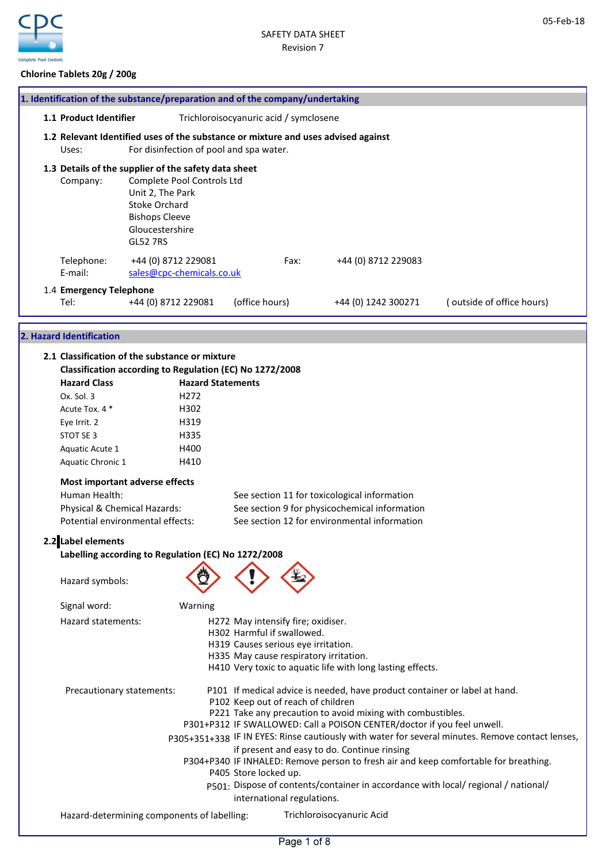

05-Feb-18

## Chlorine Tablets 20g / 200g

| 1. Identification of the substance/preparation and of the company/undertaking                                                                                                                                                                                                                                                                                                                                                                                                                       |                                                                                                                                       |                                                                                                 |                       |                                                                                                            |                                                                                                                                                                                                                                                                                                                                                                |                                                                                                                                                                                                                                                                                |
|-----------------------------------------------------------------------------------------------------------------------------------------------------------------------------------------------------------------------------------------------------------------------------------------------------------------------------------------------------------------------------------------------------------------------------------------------------------------------------------------------------|---------------------------------------------------------------------------------------------------------------------------------------|-------------------------------------------------------------------------------------------------|-----------------------|------------------------------------------------------------------------------------------------------------|----------------------------------------------------------------------------------------------------------------------------------------------------------------------------------------------------------------------------------------------------------------------------------------------------------------------------------------------------------------|--------------------------------------------------------------------------------------------------------------------------------------------------------------------------------------------------------------------------------------------------------------------------------|
| 1.1 Product Identifier                                                                                                                                                                                                                                                                                                                                                                                                                                                                              |                                                                                                                                       |                                                                                                 |                       | Trichloroisocyanuric acid / symclosene                                                                     |                                                                                                                                                                                                                                                                                                                                                                |                                                                                                                                                                                                                                                                                |
| 1.2 Relevant Identified uses of the substance or mixture and uses advised against<br>Uses:                                                                                                                                                                                                                                                                                                                                                                                                          | For disinfection of pool and spa water.                                                                                               |                                                                                                 |                       |                                                                                                            |                                                                                                                                                                                                                                                                                                                                                                |                                                                                                                                                                                                                                                                                |
| 1.3 Details of the supplier of the safety data sheet<br>Company:                                                                                                                                                                                                                                                                                                                                                                                                                                    | Complete Pool Controls Ltd<br>Unit 2, The Park<br><b>Stoke Orchard</b><br><b>Bishops Cleeve</b><br>Gloucestershire<br><b>GL52 7RS</b> |                                                                                                 |                       |                                                                                                            |                                                                                                                                                                                                                                                                                                                                                                |                                                                                                                                                                                                                                                                                |
| Telephone:<br>E-mail:                                                                                                                                                                                                                                                                                                                                                                                                                                                                               | +44 (0) 8712 229081<br>sales@cpc-chemicals.co.uk                                                                                      |                                                                                                 |                       | Fax:                                                                                                       | +44 (0) 8712 229083                                                                                                                                                                                                                                                                                                                                            |                                                                                                                                                                                                                                                                                |
| 1.4 Emergency Telephone<br>Tel:                                                                                                                                                                                                                                                                                                                                                                                                                                                                     | +44 (0) 8712 229081                                                                                                                   |                                                                                                 | (office hours)        |                                                                                                            | +44 (0) 1242 300271                                                                                                                                                                                                                                                                                                                                            | (outside of office hours)                                                                                                                                                                                                                                                      |
| 2. Hazard Identification                                                                                                                                                                                                                                                                                                                                                                                                                                                                            |                                                                                                                                       |                                                                                                 |                       |                                                                                                            |                                                                                                                                                                                                                                                                                                                                                                |                                                                                                                                                                                                                                                                                |
| 2.1 Classification of the substance or mixture<br>Classification according to Regulation (EC) No 1272/2008<br><b>Hazard Class</b><br>Ox. Sol. 3<br>Acute Tox. 4 *<br>Eye Irrit. 2<br>STOT SE 3<br>Aquatic Acute 1<br>Aquatic Chronic 1<br>Most important adverse effects<br>Human Health:<br>Physical & Chemical Hazards:<br>Potential environmental effects:<br>2.2 Label elements<br>Labelling according to Regulation (EC) No 1272/2008<br>Hazard symbols:<br>Signal word:<br>Hazard statements: |                                                                                                                                       | <b>Hazard Statements</b><br>H <sub>272</sub><br>H302<br>H319<br>H335<br>H400<br>H410<br>Warning |                       | H272 May intensify fire; oxidiser.<br>H302 Harmful if swallowed.<br>H319 Causes serious eye irritation.    | See section 11 for toxicological information<br>See section 9 for physicochemical information<br>See section 12 for environmental information                                                                                                                                                                                                                  |                                                                                                                                                                                                                                                                                |
| Precautionary statements:<br>Hazard-determining components of labelling:                                                                                                                                                                                                                                                                                                                                                                                                                            |                                                                                                                                       |                                                                                                 | P405 Store locked up. | H335 May cause respiratory irritation.<br>P102 Keep out of reach of children<br>international regulations. | H410 Very toxic to aquatic life with long lasting effects.<br>P101 If medical advice is needed, have product container or label at hand.<br>P221 Take any precaution to avoid mixing with combustibles.<br>P301+P312 IF SWALLOWED: Call a POISON CENTER/doctor if you feel unwell.<br>if present and easy to do. Continue rinsing<br>Trichloroisocyanuric Acid | P305+351+338 IF IN EYES: Rinse cautiously with water for several minutes. Remove contact lenses,<br>P304+P340 IF INHALED: Remove person to fresh air and keep comfortable for breathing.<br>p501: Dispose of contents/container in accordance with local/ regional / national/ |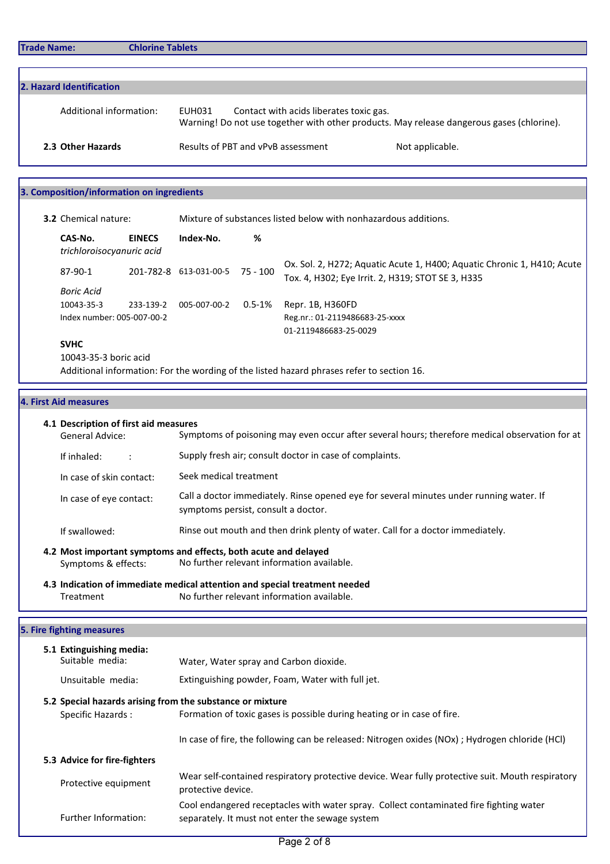| 2. Hazard Identification |                                                                                                                                                |                 |  |  |
|--------------------------|------------------------------------------------------------------------------------------------------------------------------------------------|-----------------|--|--|
| Additional information:  | Contact with acids liberates toxic gas.<br>EUH031<br>Warning! Do not use together with other products. May release dangerous gases (chlorine). |                 |  |  |
| 2.3 Other Hazards        | Results of PBT and vPvB assessment                                                                                                             | Not applicable. |  |  |

## 3. Composition/information on ingredients

| <b>3.2</b> Chemical nature: |                                                       |           | Mixture of substances listed below with nonhazardous additions. |             |                                                                                                                              |  |
|-----------------------------|-------------------------------------------------------|-----------|-----------------------------------------------------------------|-------------|------------------------------------------------------------------------------------------------------------------------------|--|
|                             | CAS-No.<br><b>EINECS</b><br>trichloroisocyanuric acid |           | Index-No.                                                       | %           |                                                                                                                              |  |
|                             | 87-90-1                                               |           | 201-782-8 613-031-00-5                                          | 75 - 100    | Ox. Sol. 2, H272; Aquatic Acute 1, H400; Aquatic Chronic 1, H410; Acute<br>Tox. 4, H302; Eye Irrit. 2, H319; STOT SE 3, H335 |  |
|                             | <b>Boric Acid</b>                                     |           |                                                                 |             |                                                                                                                              |  |
|                             | 10043-35-3                                            | 233-139-2 | 005-007-00-2                                                    | $0.5 - 1\%$ | Repr. 1B, H360FD                                                                                                             |  |
|                             | Index number: 005-007-00-2                            |           |                                                                 |             | Reg.nr.: 01-2119486683-25-xxxx                                                                                               |  |
|                             |                                                       |           |                                                                 |             | 01-2119486683-25-0029                                                                                                        |  |
|                             | <b>SVHC</b>                                           |           |                                                                 |             |                                                                                                                              |  |
|                             | 10043-35-3 boric acid                                 |           |                                                                 |             |                                                                                                                              |  |

Additional information: For the wording of the listed hazard phrases refer to section 16.

## 4. First Aid measures

|                                                                                                                                                           | 4.1 Description of first aid measures<br><b>General Advice:</b>                       | Symptoms of poisoning may even occur after several hours; therefore medical observation for at                                            |  |  |
|-----------------------------------------------------------------------------------------------------------------------------------------------------------|---------------------------------------------------------------------------------------|-------------------------------------------------------------------------------------------------------------------------------------------|--|--|
|                                                                                                                                                           | Supply fresh air; consult doctor in case of complaints.<br>If inhaled:                |                                                                                                                                           |  |  |
|                                                                                                                                                           | Seek medical treatment<br>In case of skin contact:                                    |                                                                                                                                           |  |  |
| Call a doctor immediately. Rinse opened eye for several minutes under running water. If<br>In case of eye contact:<br>symptoms persist, consult a doctor. |                                                                                       |                                                                                                                                           |  |  |
|                                                                                                                                                           | If swallowed:                                                                         | Rinse out mouth and then drink plenty of water. Call for a doctor immediately.                                                            |  |  |
|                                                                                                                                                           | Symptoms & effects:                                                                   | 4.2 Most important symptoms and effects, both acute and delayed<br>No further relevant information available.                             |  |  |
|                                                                                                                                                           | Treatment                                                                             | 4.3 Indication of immediate medical attention and special treatment needed<br>No further relevant information available.                  |  |  |
|                                                                                                                                                           | 5. Fire fighting measures                                                             |                                                                                                                                           |  |  |
|                                                                                                                                                           | 5.1 Extinguishing media:                                                              |                                                                                                                                           |  |  |
|                                                                                                                                                           | Suitable media:                                                                       | Water, Water spray and Carbon dioxide.                                                                                                    |  |  |
|                                                                                                                                                           | Unsuitable media:                                                                     | Extinguishing powder, Foam, Water with full jet.                                                                                          |  |  |
|                                                                                                                                                           | 5.2 Special hazards arising from the substance or mixture<br><b>Specific Hazards:</b> | Formation of toxic gases is possible during heating or in case of fire.                                                                   |  |  |
|                                                                                                                                                           |                                                                                       | In case of fire, the following can be released: Nitrogen oxides (NOx) ; Hydrogen chloride (HCl)                                           |  |  |
|                                                                                                                                                           | 5.3 Advice for fire-fighters                                                          |                                                                                                                                           |  |  |
|                                                                                                                                                           | Protective equipment                                                                  | Wear self-contained respiratory protective device. Wear fully protective suit. Mouth respiratory<br>protective device.                    |  |  |
|                                                                                                                                                           | <b>Further Information:</b>                                                           | Cool endangered receptacles with water spray. Collect contaminated fire fighting water<br>separately. It must not enter the sewage system |  |  |
|                                                                                                                                                           |                                                                                       |                                                                                                                                           |  |  |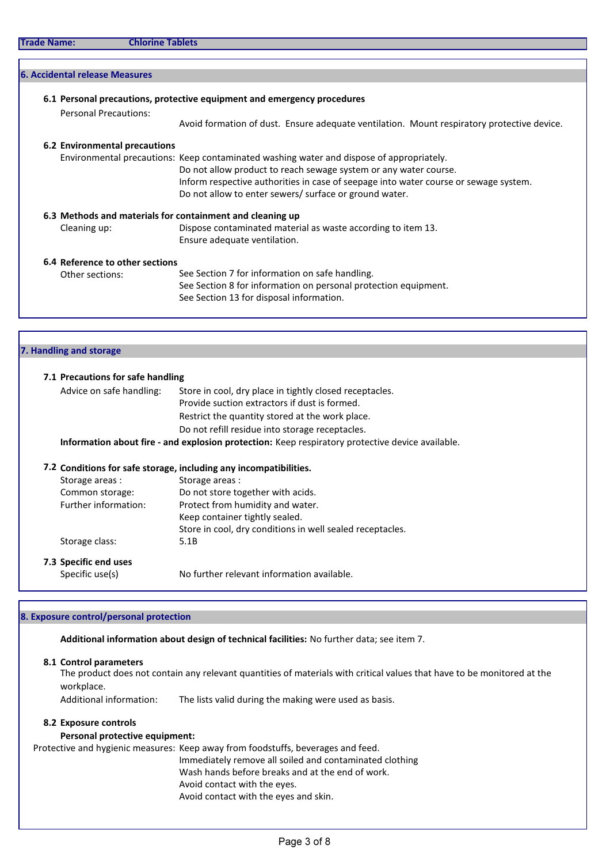| <b>Personal Precautions:</b>    |                                                                                            |
|---------------------------------|--------------------------------------------------------------------------------------------|
|                                 | Avoid formation of dust. Ensure adequate ventilation. Mount respiratory protective device. |
| 6.2 Environmental precautions   |                                                                                            |
|                                 | Environmental precautions: Keep contaminated washing water and dispose of appropriately.   |
|                                 | Do not allow product to reach sewage system or any water course.                           |
|                                 | Inform respective authorities in case of seepage into water course or sewage system.       |
|                                 | Do not allow to enter sewers/ surface or ground water.                                     |
|                                 | 6.3 Methods and materials for containment and cleaning up                                  |
|                                 | Dispose contaminated material as waste according to item 13.                               |
|                                 | Ensure adequate ventilation.                                                               |
| 6.4 Reference to other sections |                                                                                            |
| Other sections:                 | See Section 7 for information on safe handling.                                            |
|                                 | See Section 8 for information on personal protection equipment.                            |
|                                 | See Section 13 for disposal information.                                                   |
|                                 |                                                                                            |
|                                 |                                                                                            |
|                                 | Cleaning up:<br>7. Handling and storage                                                    |

| 7.1 Precautions for safe handling |                                                                                                  |
|-----------------------------------|--------------------------------------------------------------------------------------------------|
| Advice on safe handling:          | Store in cool, dry place in tightly closed receptacles.                                          |
|                                   | Provide suction extractors if dust is formed.                                                    |
|                                   | Restrict the quantity stored at the work place.                                                  |
|                                   | Do not refill residue into storage receptacles.                                                  |
|                                   | Information about fire - and explosion protection: Keep respiratory protective device available. |
|                                   | 7.2 Conditions for safe storage, including any incompatibilities.                                |
| Storage areas:                    | Storage areas:                                                                                   |
| Common storage:                   | Do not store together with acids.                                                                |
| Further information:              | Protect from humidity and water.                                                                 |
|                                   | Keep container tightly sealed.                                                                   |
|                                   | Store in cool, dry conditions in well sealed receptacles.                                        |
| Storage class:                    | 5.1B                                                                                             |
|                                   |                                                                                                  |
| 7.3 Specific end uses             |                                                                                                  |

## 8. Exposure control/personal protection

Additional information about design of technical facilities: No further data; see item 7.

#### 8.1 Control parameters

The product does not contain any relevant quantities of materials with critical values that have to be monitored at the workplace.

Additional information: The lists valid during the making were used as basis.

## 8.2 Exposure controls

## Personal protective equipment:

Protective and hygienic measures: Keep away from foodstuffs, beverages and feed. Immediately remove all soiled and contaminated clothing Wash hands before breaks and at the end of work. Avoid contact with the eyes. Avoid contact with the eyes and skin.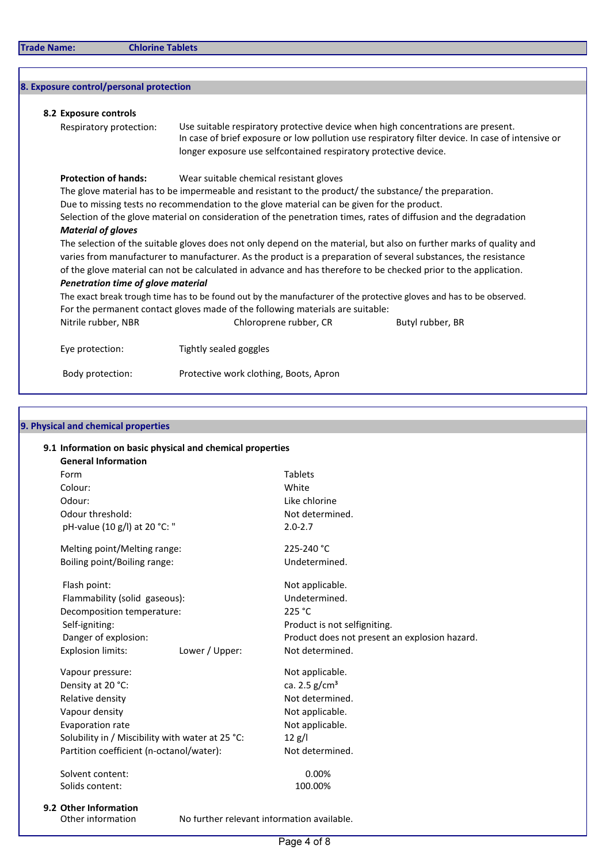# 8. Exposure control/personal protection

| Use suitable respiratory protective device when high concentrations are present.<br>Respiratory protection:<br>In case of brief exposure or low pollution use respiratory filter device. In case of intensive or<br>longer exposure use selfcontained respiratory protective device. |                                                                                                                                                                                                                                                                                                                                                                                                                                                                                                                          |                  |  |  |  |  |
|--------------------------------------------------------------------------------------------------------------------------------------------------------------------------------------------------------------------------------------------------------------------------------------|--------------------------------------------------------------------------------------------------------------------------------------------------------------------------------------------------------------------------------------------------------------------------------------------------------------------------------------------------------------------------------------------------------------------------------------------------------------------------------------------------------------------------|------------------|--|--|--|--|
|                                                                                                                                                                                                                                                                                      |                                                                                                                                                                                                                                                                                                                                                                                                                                                                                                                          |                  |  |  |  |  |
| <b>Protection of hands:</b>                                                                                                                                                                                                                                                          | Wear suitable chemical resistant gloves                                                                                                                                                                                                                                                                                                                                                                                                                                                                                  |                  |  |  |  |  |
|                                                                                                                                                                                                                                                                                      | The glove material has to be impermeable and resistant to the product/ the substance/ the preparation.                                                                                                                                                                                                                                                                                                                                                                                                                   |                  |  |  |  |  |
|                                                                                                                                                                                                                                                                                      | Due to missing tests no recommendation to the glove material can be given for the product.                                                                                                                                                                                                                                                                                                                                                                                                                               |                  |  |  |  |  |
|                                                                                                                                                                                                                                                                                      | Selection of the glove material on consideration of the penetration times, rates of diffusion and the degradation                                                                                                                                                                                                                                                                                                                                                                                                        |                  |  |  |  |  |
| <b>Material of gloves</b>                                                                                                                                                                                                                                                            |                                                                                                                                                                                                                                                                                                                                                                                                                                                                                                                          |                  |  |  |  |  |
|                                                                                                                                                                                                                                                                                      | The selection of the suitable gloves does not only depend on the material, but also on further marks of quality and<br>varies from manufacturer to manufacturer. As the product is a preparation of several substances, the resistance<br>of the glove material can not be calculated in advance and has therefore to be checked prior to the application.<br>Penetration time of glove material<br>The exact break trough time has to be found out by the manufacturer of the protective gloves and has to be observed. |                  |  |  |  |  |
|                                                                                                                                                                                                                                                                                      |                                                                                                                                                                                                                                                                                                                                                                                                                                                                                                                          |                  |  |  |  |  |
|                                                                                                                                                                                                                                                                                      |                                                                                                                                                                                                                                                                                                                                                                                                                                                                                                                          |                  |  |  |  |  |
|                                                                                                                                                                                                                                                                                      |                                                                                                                                                                                                                                                                                                                                                                                                                                                                                                                          |                  |  |  |  |  |
|                                                                                                                                                                                                                                                                                      |                                                                                                                                                                                                                                                                                                                                                                                                                                                                                                                          |                  |  |  |  |  |
|                                                                                                                                                                                                                                                                                      | For the permanent contact gloves made of the following materials are suitable:                                                                                                                                                                                                                                                                                                                                                                                                                                           |                  |  |  |  |  |
| Nitrile rubber, NBR                                                                                                                                                                                                                                                                  | Chloroprene rubber, CR                                                                                                                                                                                                                                                                                                                                                                                                                                                                                                   | Butyl rubber, BR |  |  |  |  |
| Eye protection:                                                                                                                                                                                                                                                                      | Tightly sealed goggles                                                                                                                                                                                                                                                                                                                                                                                                                                                                                                   |                  |  |  |  |  |
| Body protection:                                                                                                                                                                                                                                                                     | Protective work clothing, Boots, Apron                                                                                                                                                                                                                                                                                                                                                                                                                                                                                   |                  |  |  |  |  |

# 9. Physical and chemical properties

| Form                                             | <b>Tablets</b>                                |
|--------------------------------------------------|-----------------------------------------------|
| Colour:                                          | White                                         |
| Odour:                                           | Like chlorine                                 |
| Odour threshold:                                 | Not determined.                               |
| pH-value (10 g/l) at 20 °C: "                    | $2.0 - 2.7$                                   |
| Melting point/Melting range:                     | 225-240 °C                                    |
| Boiling point/Boiling range:                     | Undetermined.                                 |
| Flash point:                                     | Not applicable.                               |
| Flammability (solid gaseous):                    | Undetermined.                                 |
| Decomposition temperature:                       | 225 °C                                        |
| Self-igniting:                                   | Product is not selfigniting.                  |
| Danger of explosion:                             | Product does not present an explosion hazard. |
| <b>Explosion limits:</b><br>Lower / Upper:       | Not determined.                               |
| Vapour pressure:                                 | Not applicable.                               |
| Density at 20 °C:                                | ca. 2.5 $g/cm^{3}$                            |
| Relative density                                 | Not determined.                               |
| Vapour density                                   | Not applicable.                               |
| Evaporation rate                                 | Not applicable.                               |
| Solubility in / Miscibility with water at 25 °C: | 12 g/l                                        |
| Partition coefficient (n-octanol/water):         | Not determined.                               |
| Solvent content:                                 | 0.00%                                         |
| Solids content:                                  | 100.00%                                       |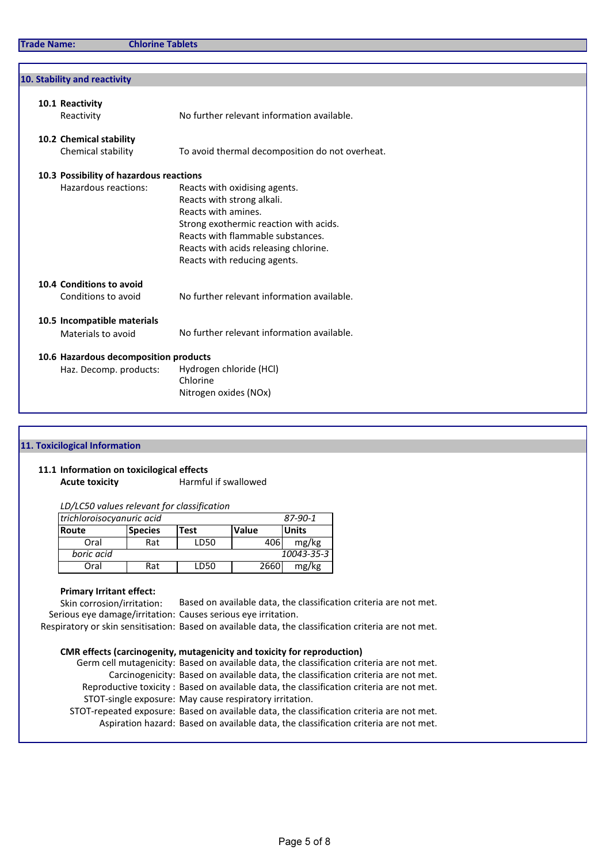| 10. Stability and reactivity                      |                                                                                                                                                                                                                                            |
|---------------------------------------------------|--------------------------------------------------------------------------------------------------------------------------------------------------------------------------------------------------------------------------------------------|
| 10.1 Reactivity<br>Reactivity                     | No further relevant information available.                                                                                                                                                                                                 |
| 10.2 Chemical stability<br>Chemical stability     | To avoid thermal decomposition do not overheat.                                                                                                                                                                                            |
| 10.3 Possibility of hazardous reactions           |                                                                                                                                                                                                                                            |
| Hazardous reactions:                              | Reacts with oxidising agents.<br>Reacts with strong alkali.<br>Reacts with amines.<br>Strong exothermic reaction with acids.<br>Reacts with flammable substances.<br>Reacts with acids releasing chlorine.<br>Reacts with reducing agents. |
| 10.4 Conditions to avoid<br>Conditions to avoid   | No further relevant information available.                                                                                                                                                                                                 |
| 10.5 Incompatible materials<br>Materials to avoid | No further relevant information available.                                                                                                                                                                                                 |
| 10.6 Hazardous decomposition products             |                                                                                                                                                                                                                                            |
| Haz. Decomp. products:                            | Hydrogen chloride (HCl)<br>Chlorine<br>Nitrogen oxides (NOx)                                                                                                                                                                               |

#### 11. Toxicilogical Information

## 11.1 Information on toxicilogical effects Acute toxicity **Harmful if swallowed**

LD/LC50 values relevant for classification

| trichloroisocyanuric acid<br>87-90-1 |                |             |              |              |
|--------------------------------------|----------------|-------------|--------------|--------------|
| <b>Route</b>                         | <b>Species</b> | <b>Test</b> | <b>Value</b> | <b>Units</b> |
| Oral                                 | Rat            | LD50        | 406          | mg/kg        |
| boric acid                           |                |             |              | 10043-35-3   |
| Oral                                 | Rat            | LD50        | 2660         | mg/kg        |

## Primary Irritant effect:

Skin corrosion/irritation: Based on available data, the classification criteria are not met. Serious eye damage/irritation: Causes serious eye irritation.

Respiratory or skin sensitisation: Based on available data, the classification criteria are not met.

## CMR effects (carcinogenity, mutagenicity and toxicity for reproduction)

Germ cell mutagenicity: Based on available data, the classification criteria are not met. Carcinogenicity: Based on available data, the classification criteria are not met. Reproductive toxicity : Based on available data, the classification criteria are not met. STOT-single exposure: May cause respiratory irritation. STOT-repeated exposure: Based on available data, the classification criteria are not met.

Aspiration hazard: Based on available data, the classification criteria are not met.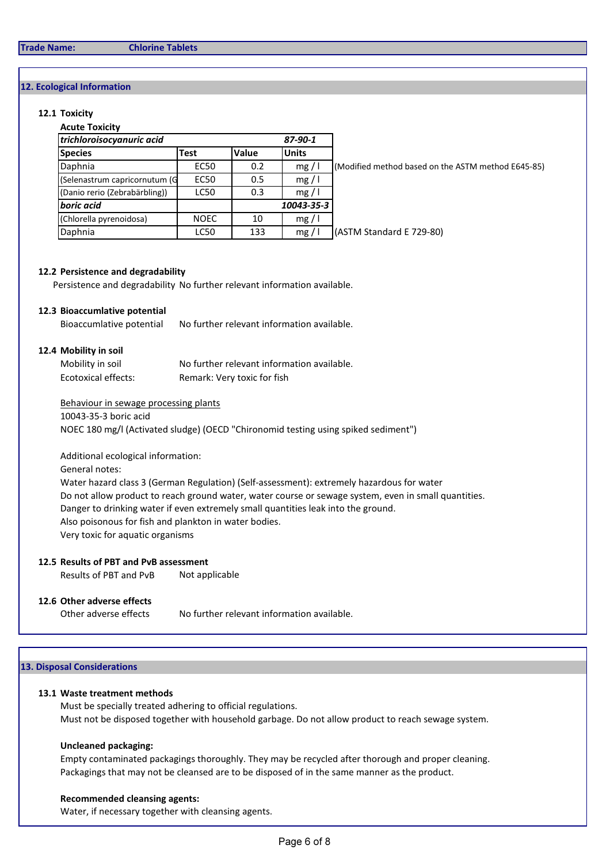#### Trade Name: Chlorine Tablets

## 12. Ecological Information

#### 12.1 Toxicity

| <b>Acute Toxicity</b>         |             |       |              |                                                    |
|-------------------------------|-------------|-------|--------------|----------------------------------------------------|
| trichloroisocyanuric acid     |             |       |              |                                                    |
| <b>Species</b>                | <b>Test</b> | Value | <b>Units</b> |                                                    |
| Daphnia                       | <b>EC50</b> | 0.2   | mg/          | (Modified method based on the ASTM method E645-85) |
| (Selenastrum capricornutum (G | <b>EC50</b> | 0.5   | mg/          |                                                    |
| (Danio rerio (Zebrabärbling)) | LC50        | 0.3   | mg/          |                                                    |
| boric acid                    |             |       | 10043-35-3   |                                                    |
| (Chlorella pyrenoidosa)       | <b>NOEC</b> | 10    | mg/          |                                                    |
| Daphnia                       | <b>LC50</b> | 133   | mg/1         | (ASTM Standard E 729-80)                           |

#### 12.2 Persistence and degradability

Persistence and degradability No further relevant information available.

## 12.3 Bioaccumlative potential

Bioaccumlative potential No further relevant information available.

#### 12.4 Mobility in soil

| Mobility in soil    | No further relevant information available. |
|---------------------|--------------------------------------------|
| Ecotoxical effects: | Remark: Very toxic for fish                |

#### Behaviour in sewage processing plants

10043-35-3 boric acid

NOEC 180 mg/l (Activated sludge) (OECD "Chironomid testing using spiked sediment")

Additional ecological information:

## General notes:

Water hazard class 3 (German Regulation) (Self-assessment): extremely hazardous for water Do not allow product to reach ground water, water course or sewage system, even in small quantities. Danger to drinking water if even extremely small quantities leak into the ground. Also poisonous for fish and plankton in water bodies.

Very toxic for aquatic organisms

## 12.5 Results of PBT and PvB assessment

Results of PBT and PvB Not applicable

## 12.6 Other adverse effects

Other adverse effects No further relevant information available.

## 13. Disposal Considerations

#### 13.1 Waste treatment methods

Must be specially treated adhering to official regulations. Must not be disposed together with household garbage. Do not allow product to reach sewage system.

## Uncleaned packaging:

Empty contaminated packagings thoroughly. They may be recycled after thorough and proper cleaning. Packagings that may not be cleansed are to be disposed of in the same manner as the product.

## Recommended cleansing agents:

Water, if necessary together with cleansing agents.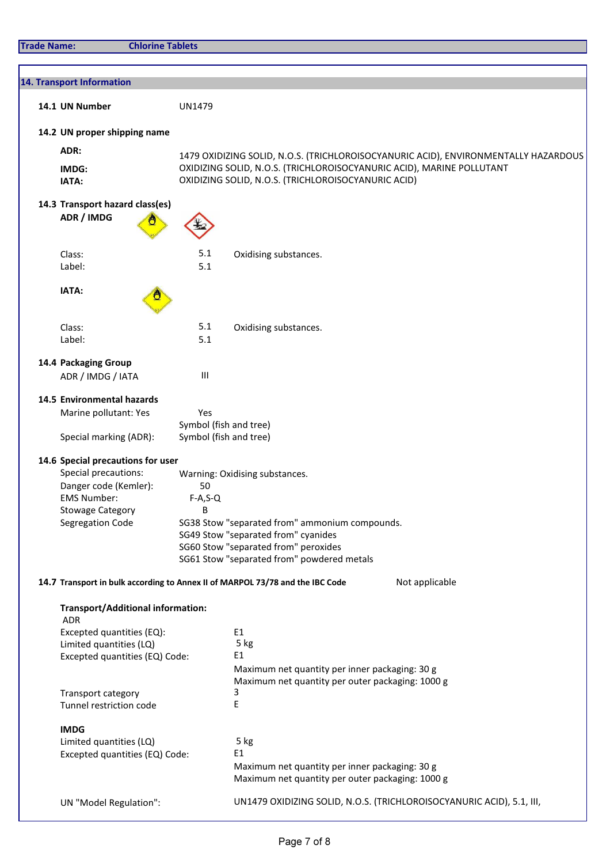| <b>Trade Name:</b> | <b>Chlorine Tablets</b>                                |                               |                                                                                                    |
|--------------------|--------------------------------------------------------|-------------------------------|----------------------------------------------------------------------------------------------------|
|                    |                                                        |                               |                                                                                                    |
|                    | 14. Transport Information                              |                               |                                                                                                    |
|                    |                                                        |                               |                                                                                                    |
|                    | 14.1 UN Number                                         | <b>UN1479</b>                 |                                                                                                    |
|                    | 14.2 UN proper shipping name                           |                               |                                                                                                    |
|                    | ADR:                                                   |                               | 1479 OXIDIZING SOLID, N.O.S. (TRICHLOROISOCYANURIC ACID), ENVIRONMENTALLY HAZARDOUS                |
|                    | IMDG:                                                  |                               | OXIDIZING SOLID, N.O.S. (TRICHLOROISOCYANURIC ACID), MARINE POLLUTANT                              |
|                    | IATA:                                                  |                               | OXIDIZING SOLID, N.O.S. (TRICHLOROISOCYANURIC ACID)                                                |
|                    | 14.3 Transport hazard class(es)                        |                               |                                                                                                    |
|                    | ADR / IMDG                                             |                               |                                                                                                    |
|                    |                                                        |                               |                                                                                                    |
|                    | Class:                                                 | 5.1                           | Oxidising substances.                                                                              |
|                    | Label:                                                 | 5.1                           |                                                                                                    |
|                    | IATA:                                                  |                               |                                                                                                    |
|                    |                                                        |                               |                                                                                                    |
|                    |                                                        | 5.1                           |                                                                                                    |
|                    | Class:<br>Label:                                       | 5.1                           | Oxidising substances.                                                                              |
|                    |                                                        |                               |                                                                                                    |
|                    | 14.4 Packaging Group<br>ADR / IMDG / IATA              | $\mathbf{III}$                |                                                                                                    |
|                    |                                                        |                               |                                                                                                    |
|                    | 14.5 Environmental hazards                             |                               |                                                                                                    |
|                    | Marine pollutant: Yes                                  | Yes<br>Symbol (fish and tree) |                                                                                                    |
|                    | Special marking (ADR):                                 | Symbol (fish and tree)        |                                                                                                    |
|                    | 14.6 Special precautions for user                      |                               |                                                                                                    |
|                    | Special precautions:                                   |                               | Warning: Oxidising substances.                                                                     |
|                    | Danger code (Kemler):                                  | 50                            |                                                                                                    |
|                    | <b>EMS Number:</b>                                     | $F-A, S-Q$                    |                                                                                                    |
|                    | <b>Stowage Category</b>                                | В                             |                                                                                                    |
|                    | Segregation Code                                       |                               | SG38 Stow "separated from" ammonium compounds.                                                     |
|                    |                                                        |                               | SG49 Stow "separated from" cyanides                                                                |
|                    |                                                        |                               | SG60 Stow "separated from" peroxides                                                               |
|                    |                                                        |                               | SG61 Stow "separated from" powdered metals                                                         |
|                    |                                                        |                               | Not applicable<br>14.7 Transport in bulk according to Annex II of MARPOL 73/78 and the IBC Code    |
|                    |                                                        |                               |                                                                                                    |
|                    | <b>Transport/Additional information:</b><br><b>ADR</b> |                               |                                                                                                    |
|                    | Excepted quantities (EQ):                              |                               | E1                                                                                                 |
|                    |                                                        |                               | 5 kg                                                                                               |
|                    | Limited quantities (LQ)                                |                               | E1                                                                                                 |
|                    | Excepted quantities (EQ) Code:                         |                               |                                                                                                    |
|                    |                                                        |                               | Maximum net quantity per inner packaging: 30 g<br>Maximum net quantity per outer packaging: 1000 g |
|                    | Transport category                                     |                               | 3                                                                                                  |
|                    | Tunnel restriction code                                |                               | Ε                                                                                                  |
|                    |                                                        |                               |                                                                                                    |
|                    | <b>IMDG</b><br>Limited quantities (LQ)                 |                               | 5 kg                                                                                               |
|                    | Excepted quantities (EQ) Code:                         |                               | E <sub>1</sub>                                                                                     |
|                    |                                                        |                               | Maximum net quantity per inner packaging: 30 g                                                     |
|                    |                                                        |                               | Maximum net quantity per outer packaging: 1000 g                                                   |
|                    | UN "Model Regulation":                                 |                               | UN1479 OXIDIZING SOLID, N.O.S. (TRICHLOROISOCYANURIC ACID), 5.1, III,                              |
|                    |                                                        |                               |                                                                                                    |